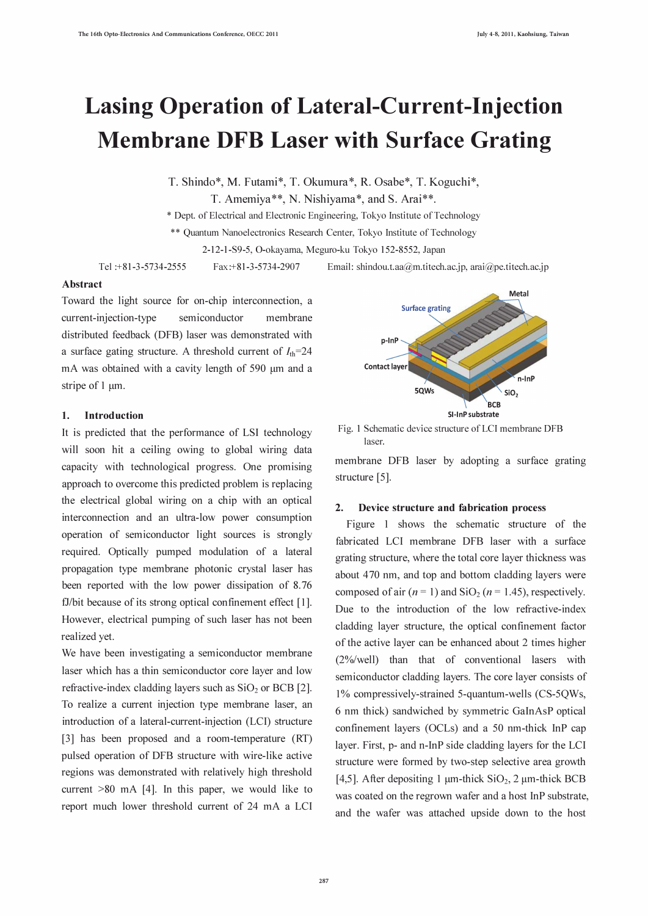# Lasing Operation of Lateral-Current-Injection Membrane DFB Laser with Surface Grating

T. Shindo\*, M. Futami\*, T. Okumura\*, R. Osabe\*, T. Koguchi\*,

T. Amemiya\*\*, N. Nishiyama\*, and S. Arai\*\*.

\* Dept. of Electrical and Electronic Engineering, Tokyo Institute of Technology

\*\* Quantum Nanoelectronics Research Center, Tokyo Institute of Technology

2-12-1-S9-5, O-okayama, Meguro-ku Tokyo 152-8552, Japan

Tel :+81-3-5734-2555 Fax:+81-3-5734-2907 Email : shindou.t.aa@m.titech.ac.jp, arai@pe.titech.ac.jp

# Abstract

Toward the light source for on-chip interconnection, a current-injection-type semiconductor membrane distributed feedback (DFB) laser was demonstrated with a surface gating structure. A threshold current of  $I_{\text{th}}=24$ mA was obtained with a cavity length of 590 µm and a stripe of  $1 \mu m$ .

## 1. Introduction

It is predicted that the performance of LSI technology will soon hit a ceiling owing to global wiring data capacity with technological progress. One promising approach to overcome this predicted problem is replacing the electrical global wiring on a chip with an optical interconnection and an ultra-low power consumption operation of semiconductor light sources is strongly required. Optically pumped modulation of a lateral propagation type membrane photonic crystal laser has been reported with the low power dissipation of 8.76 fJ/bit because of its strong optical confinement effect [1]. However, electrical pumping of such laser has not been realized yet.

We have been investigating a semiconductor membrane laser which has a thin semiconductor core layer and low refractive-index cladding layers such as  $SiO<sub>2</sub>$  or BCB [2]. To realize a current injection type membrane laser, an introduction of a lateral-current-injection (LCI) structure [3] has been proposed and a room-temperature (RT) pulsed operation of DFB structure with wire-like active regions was demonstrated with relatively high threshold current  $>80$  mA [4]. In this paper, we would like to report much lower threshold current of 24 mA a LCI



Fig. 1 Schematic device structure of LCI membrane DFB laser.

membrane DFB laser by adopting a surface grating structure [5].

## 2. Device structure and fabrication process

Figure 1 shows the schematic structure of the fabricated LCI membrane DFB laser with a surface grating structure, where the total core layer thickness was about 470 nm, and top and bottom cladding layers were composed of air  $(n = 1)$  and SiO<sub>2</sub> ( $n = 1.45$ ), respectively. Due to the introduction of the low refractive-index cladding layer structure, the optical confinement factor of the active layer can be enhanced about 2 times higher (2%/well) than that of conventional lasers with semiconductor cladding layers. The core layer consists of 1% compressively-strained 5-quantum-wells (CS-5QWs, 6 nm thick) sandwiched by symmetric GaInAsP optical confinement layers (OCLs) and a 50 nm-thick InP cap layer. First, p- and n-InP side cladding layers for the LCI structure were formed by two-step selective area growth [4,5]. After depositing 1  $\mu$ m-thick SiO<sub>2</sub>, 2  $\mu$ m-thick BCB was coated on the regrown wafer and a host InP substrate, and the wafer was attached upside down to the host